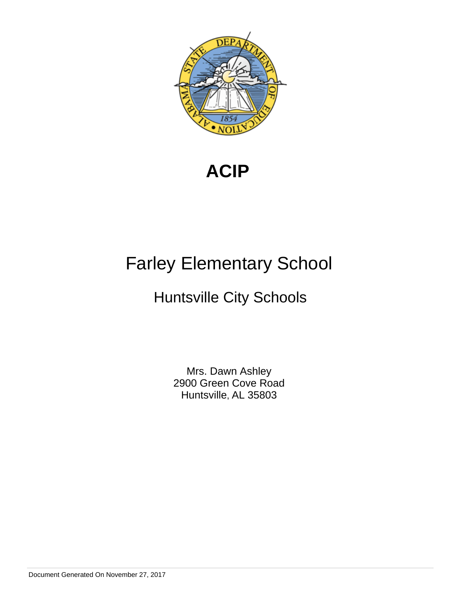

**ACIP** 

# Farley Elementary School

# Huntsville City Schools

Mrs. Dawn Ashley 2900 Green Cove Road Huntsville, AL 35803

Document Generated On November 27, 2017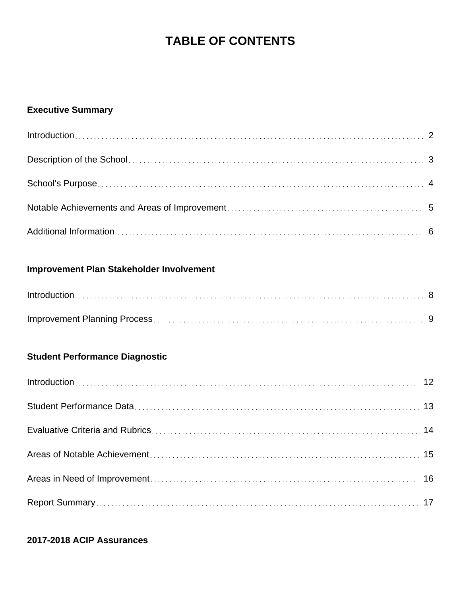# **TABLE OF CONTENTS**

# **Executive Summary**

# **Improvement Plan Stakeholder Involvement**

# **Student Performance Diagnostic**

# **2017-2018 ACIP Assurances**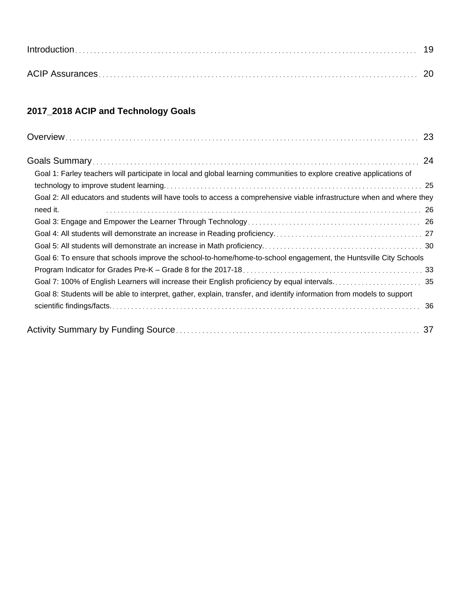# **2017\_2018 ACIP and Technology Goals**

| Goal 1: Farley teachers will participate in local and global learning communities to explore creative applications of  |
|------------------------------------------------------------------------------------------------------------------------|
|                                                                                                                        |
| Goal 2: All educators and students will have tools to access a comprehensive viable infrastructure when and where they |
| need it.                                                                                                               |
|                                                                                                                        |
|                                                                                                                        |
|                                                                                                                        |
| Goal 6: To ensure that schools improve the school-to-home/home-to-school engagement, the Huntsville City Schools       |
|                                                                                                                        |
| Goal 7: 100% of English Learners will increase their English proficiency by equal intervals 35                         |
| Goal 8: Students will be able to interpret, gather, explain, transfer, and identify information from models to support |
|                                                                                                                        |
|                                                                                                                        |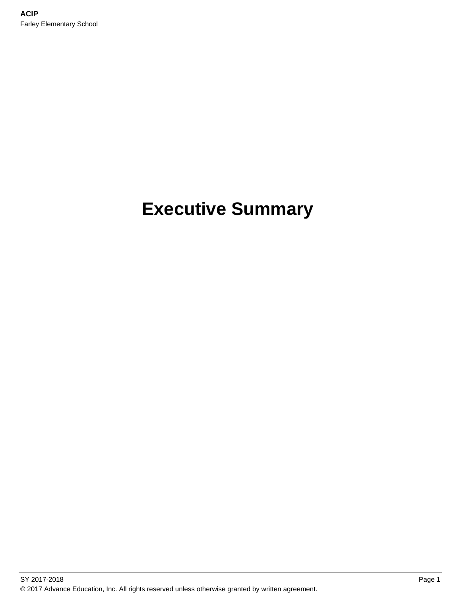# **Executive Summary**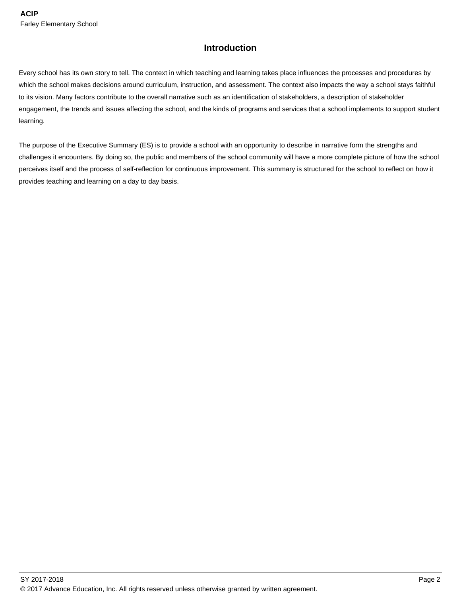## **Introduction**

Every school has its own story to tell. The context in which teaching and learning takes place influences the processes and procedures by which the school makes decisions around curriculum, instruction, and assessment. The context also impacts the way a school stays faithful to its vision. Many factors contribute to the overall narrative such as an identification of stakeholders, a description of stakeholder engagement, the trends and issues affecting the school, and the kinds of programs and services that a school implements to support student learning.

The purpose of the Executive Summary (ES) is to provide a school with an opportunity to describe in narrative form the strengths and challenges it encounters. By doing so, the public and members of the school community will have a more complete picture of how the school perceives itself and the process of self-reflection for continuous improvement. This summary is structured for the school to reflect on how it provides teaching and learning on a day to day basis.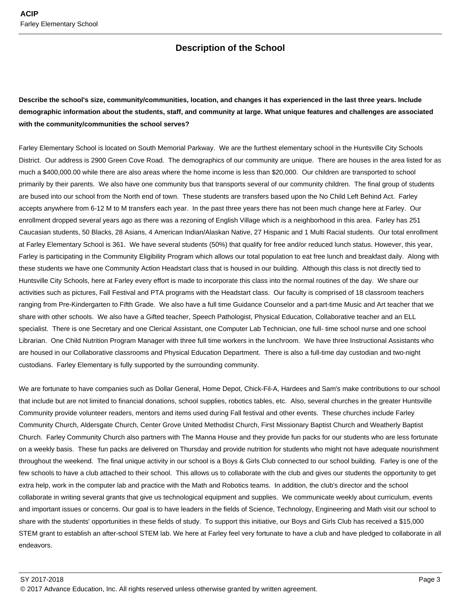## **Description of the School**

**Describe the school's size, community/communities, location, and changes it has experienced in the last three years. Include demographic information about the students, staff, and community at large. What unique features and challenges are associated with the community/communities the school serves?**

Farley Elementary School is located on South Memorial Parkway. We are the furthest elementary school in the Huntsville City Schools District. Our address is 2900 Green Cove Road. The demographics of our community are unique. There are houses in the area listed for as much a \$400,000.00 while there are also areas where the home income is less than \$20,000. Our children are transported to school primarily by their parents. We also have one community bus that transports several of our community children. The final group of students are bused into our school from the North end of town. These students are transfers based upon the No Child Left Behind Act. Farley accepts anywhere from 6-12 M to M transfers each year. In the past three years there has not been much change here at Farley. Our enrollment dropped several years ago as there was a rezoning of English Village which is a neighborhood in this area. Farley has 251 Caucasian students, 50 Blacks, 28 Asians, 4 American Indian/Alaskan Native, 27 Hispanic and 1 Multi Racial students. Our total enrollment at Farley Elementary School is 361. We have several students (50%) that qualify for free and/or reduced lunch status. However, this year, Farley is participating in the Community Eligibility Program which allows our total population to eat free lunch and breakfast daily. Along with these students we have one Community Action Headstart class that is housed in our building. Although this class is not directly tied to Huntsville City Schools, here at Farley every effort is made to incorporate this class into the normal routines of the day. We share our activities such as pictures, Fall Festival and PTA programs with the Headstart class. Our faculty is comprised of 18 classroom teachers ranging from Pre-Kindergarten to Fifth Grade. We also have a full time Guidance Counselor and a part-time Music and Art teacher that we share with other schools. We also have a Gifted teacher, Speech Pathologist, Physical Education, Collaborative teacher and an ELL specialist. There is one Secretary and one Clerical Assistant, one Computer Lab Technician, one full- time school nurse and one school Librarian. One Child Nutrition Program Manager with three full time workers in the lunchroom. We have three Instructional Assistants who are housed in our Collaborative classrooms and Physical Education Department. There is also a full-time day custodian and two-night custodians. Farley Elementary is fully supported by the surrounding community.

We are fortunate to have companies such as Dollar General, Home Depot, Chick-Fil-A, Hardees and Sam's make contributions to our school that include but are not limited to financial donations, school supplies, robotics tables, etc. Also, several churches in the greater Huntsville Community provide volunteer readers, mentors and items used during Fall festival and other events. These churches include Farley Community Church, Aldersgate Church, Center Grove United Methodist Church, First Missionary Baptist Church and Weatherly Baptist Church. Farley Community Church also partners with The Manna House and they provide fun packs for our students who are less fortunate on a weekly basis. These fun packs are delivered on Thursday and provide nutrition for students who might not have adequate nourishment throughout the weekend. The final unique activity in our school is a Boys & Girls Club connected to our school building. Farley is one of the few schools to have a club attached to their school. This allows us to collaborate with the club and gives our students the opportunity to get extra help, work in the computer lab and practice with the Math and Robotics teams. In addition, the club's director and the school collaborate in writing several grants that give us technological equipment and supplies. We communicate weekly about curriculum, events and important issues or concerns. Our goal is to have leaders in the fields of Science, Technology, Engineering and Math visit our school to share with the students' opportunities in these fields of study. To support this initiative, our Boys and Girls Club has received a \$15,000 STEM grant to establish an after-school STEM lab. We here at Farley feel very fortunate to have a club and have pledged to collaborate in all endeavors.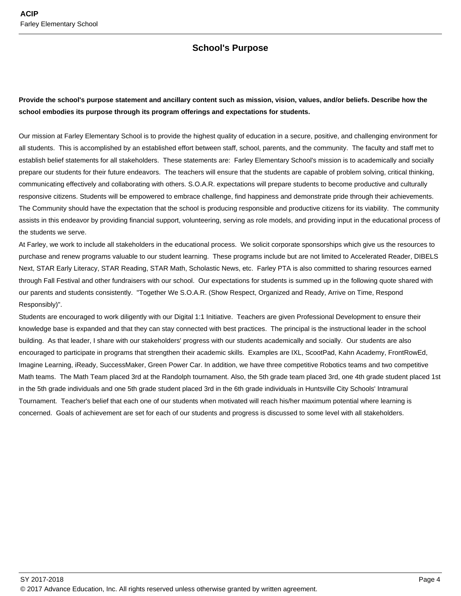## **School's Purpose**

## **Provide the school's purpose statement and ancillary content such as mission, vision, values, and/or beliefs. Describe how the school embodies its purpose through its program offerings and expectations for students.**

Our mission at Farley Elementary School is to provide the highest quality of education in a secure, positive, and challenging environment for all students. This is accomplished by an established effort between staff, school, parents, and the community. The faculty and staff met to establish belief statements for all stakeholders. These statements are: Farley Elementary School's mission is to academically and socially prepare our students for their future endeavors. The teachers will ensure that the students are capable of problem solving, critical thinking, communicating effectively and collaborating with others. S.O.A.R. expectations will prepare students to become productive and culturally responsive citizens. Students will be empowered to embrace challenge, find happiness and demonstrate pride through their achievements. The Community should have the expectation that the school is producing responsible and productive citizens for its viability. The community assists in this endeavor by providing financial support, volunteering, serving as role models, and providing input in the educational process of the students we serve.

At Farley, we work to include all stakeholders in the educational process. We solicit corporate sponsorships which give us the resources to purchase and renew programs valuable to our student learning. These programs include but are not limited to Accelerated Reader, DIBELS Next, STAR Early Literacy, STAR Reading, STAR Math, Scholastic News, etc. Farley PTA is also committed to sharing resources earned through Fall Festival and other fundraisers with our school. Our expectations for students is summed up in the following quote shared with our parents and students consistently. "Together We S.O.A.R. (Show Respect, Organized and Ready, Arrive on Time, Respond Responsibly)".

Students are encouraged to work diligently with our Digital 1:1 Initiative. Teachers are given Professional Development to ensure their knowledge base is expanded and that they can stay connected with best practices. The principal is the instructional leader in the school building. As that leader, I share with our stakeholders' progress with our students academically and socially. Our students are also encouraged to participate in programs that strengthen their academic skills. Examples are IXL, ScootPad, Kahn Academy, FrontRowEd, Imagine Learning, iReady, SuccessMaker, Green Power Car. In addition, we have three competitive Robotics teams and two competitive Math teams. The Math Team placed 3rd at the Randolph tournament. Also, the 5th grade team placed 3rd, one 4th grade student placed 1st in the 5th grade individuals and one 5th grade student placed 3rd in the 6th grade individuals in Huntsville City Schools' Intramural Tournament. Teacher's belief that each one of our students when motivated will reach his/her maximum potential where learning is concerned. Goals of achievement are set for each of our students and progress is discussed to some level with all stakeholders.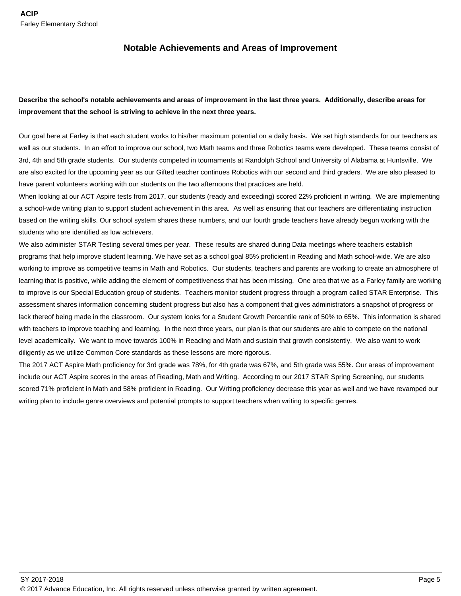## **Notable Achievements and Areas of Improvement**

## **Describe the school's notable achievements and areas of improvement in the last three years. Additionally, describe areas for improvement that the school is striving to achieve in the next three years.**

Our goal here at Farley is that each student works to his/her maximum potential on a daily basis. We set high standards for our teachers as well as our students. In an effort to improve our school, two Math teams and three Robotics teams were developed. These teams consist of 3rd, 4th and 5th grade students. Our students competed in tournaments at Randolph School and University of Alabama at Huntsville. We are also excited for the upcoming year as our Gifted teacher continues Robotics with our second and third graders. We are also pleased to have parent volunteers working with our students on the two afternoons that practices are held.

When looking at our ACT Aspire tests from 2017, our students (ready and exceeding) scored 22% proficient in writing. We are implementing a school-wide writing plan to support student achievement in this area. As well as ensuring that our teachers are differentiating instruction based on the writing skills. Our school system shares these numbers, and our fourth grade teachers have already begun working with the students who are identified as low achievers.

We also administer STAR Testing several times per year. These results are shared during Data meetings where teachers establish programs that help improve student learning. We have set as a school goal 85% proficient in Reading and Math school-wide. We are also working to improve as competitive teams in Math and Robotics. Our students, teachers and parents are working to create an atmosphere of learning that is positive, while adding the element of competitiveness that has been missing. One area that we as a Farley family are working to improve is our Special Education group of students. Teachers monitor student progress through a program called STAR Enterprise. This assessment shares information concerning student progress but also has a component that gives administrators a snapshot of progress or lack thereof being made in the classroom. Our system looks for a Student Growth Percentile rank of 50% to 65%. This information is shared with teachers to improve teaching and learning. In the next three years, our plan is that our students are able to compete on the national level academically. We want to move towards 100% in Reading and Math and sustain that growth consistently. We also want to work diligently as we utilize Common Core standards as these lessons are more rigorous.

The 2017 ACT Aspire Math proficiency for 3rd grade was 78%, for 4th grade was 67%, and 5th grade was 55%. Our areas of improvement include our ACT Aspire scores in the areas of Reading, Math and Writing. According to our 2017 STAR Spring Screening, our students scored 71% proficient in Math and 58% proficient in Reading. Our Writing proficiency decrease this year as well and we have revamped our writing plan to include genre overviews and potential prompts to support teachers when writing to specific genres.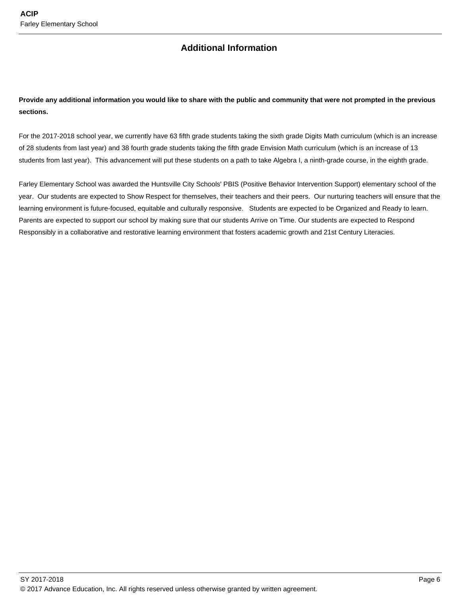## **Additional Information**

## **Provide any additional information you would like to share with the public and community that were not prompted in the previous sections.**

For the 2017-2018 school year, we currently have 63 fifth grade students taking the sixth grade Digits Math curriculum (which is an increase of 28 students from last year) and 38 fourth grade students taking the fifth grade Envision Math curriculum (which is an increase of 13 students from last year). This advancement will put these students on a path to take Algebra I, a ninth-grade course, in the eighth grade.

Farley Elementary School was awarded the Huntsville City Schools' PBIS (Positive Behavior Intervention Support) elementary school of the year. Our students are expected to Show Respect for themselves, their teachers and their peers. Our nurturing teachers will ensure that the learning environment is future-focused, equitable and culturally responsive. Students are expected to be Organized and Ready to learn. Parents are expected to support our school by making sure that our students Arrive on Time. Our students are expected to Respond Responsibly in a collaborative and restorative learning environment that fosters academic growth and 21st Century Literacies.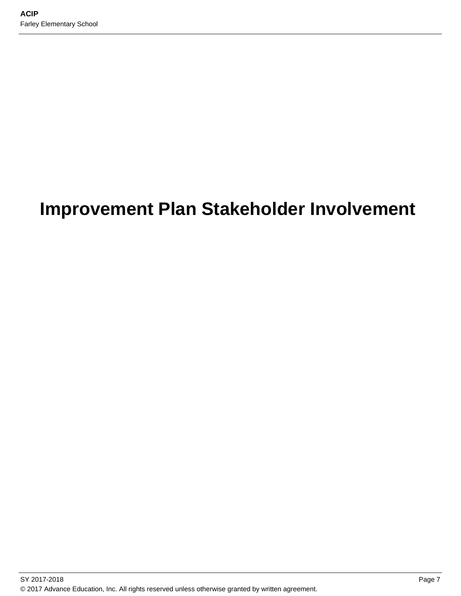# **Improvement Plan Stakeholder Involvement**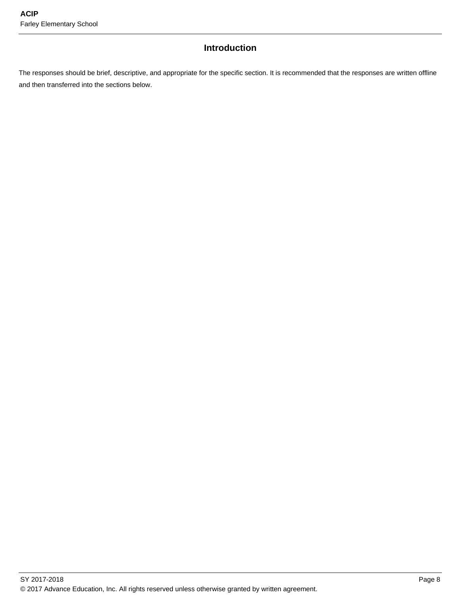# **Introduction**

The responses should be brief, descriptive, and appropriate for the specific section. It is recommended that the responses are written offline and then transferred into the sections below.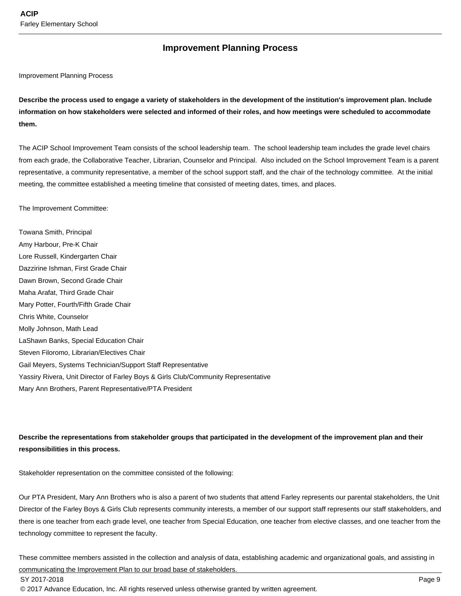## **Improvement Planning Process**

#### Improvement Planning Process

**Describe the process used to engage a variety of stakeholders in the development of the institution's improvement plan. Include information on how stakeholders were selected and informed of their roles, and how meetings were scheduled to accommodate them.** 

The ACIP School Improvement Team consists of the school leadership team. The school leadership team includes the grade level chairs from each grade, the Collaborative Teacher, Librarian, Counselor and Principal. Also included on the School Improvement Team is a parent representative, a community representative, a member of the school support staff, and the chair of the technology committee. At the initial meeting, the committee established a meeting timeline that consisted of meeting dates, times, and places.

The Improvement Committee:

Towana Smith, Principal Amy Harbour, Pre-K Chair Lore Russell, Kindergarten Chair Dazzirine Ishman, First Grade Chair Dawn Brown, Second Grade Chair Maha Arafat, Third Grade Chair Mary Potter, Fourth/Fifth Grade Chair Chris White, Counselor Molly Johnson, Math Lead LaShawn Banks, Special Education Chair Steven Filoromo, Librarian/Electives Chair Gail Meyers, Systems Technician/Support Staff Representative Yassiry Rivera, Unit Director of Farley Boys & Girls Club/Community Representative Mary Ann Brothers, Parent Representative/PTA President

**Describe the representations from stakeholder groups that participated in the development of the improvement plan and their responsibilities in this process.**

Stakeholder representation on the committee consisted of the following:

Our PTA President, Mary Ann Brothers who is also a parent of two students that attend Farley represents our parental stakeholders, the Unit Director of the Farley Boys & Girls Club represents community interests, a member of our support staff represents our staff stakeholders, and there is one teacher from each grade level, one teacher from Special Education, one teacher from elective classes, and one teacher from the technology committee to represent the faculty.

These committee members assisted in the collection and analysis of data, establishing academic and organizational goals, and assisting in communicating the Improvement Plan to our broad base of stakeholders.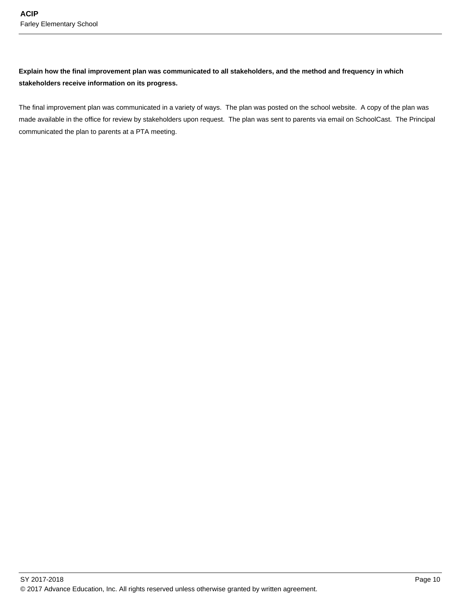### **Explain how the final improvement plan was communicated to all stakeholders, and the method and frequency in which stakeholders receive information on its progress.**

The final improvement plan was communicated in a variety of ways. The plan was posted on the school website. A copy of the plan was made available in the office for review by stakeholders upon request. The plan was sent to parents via email on SchoolCast. The Principal communicated the plan to parents at a PTA meeting.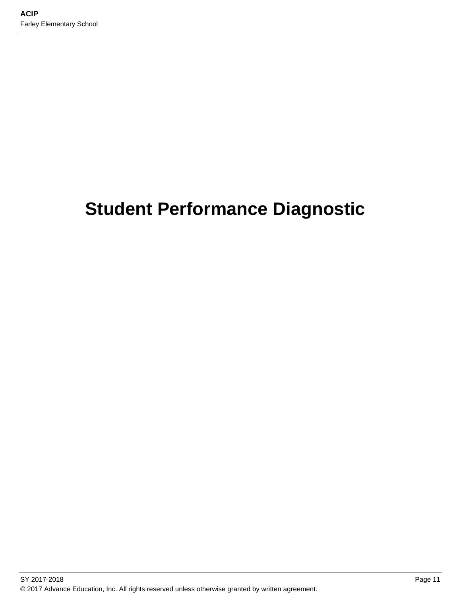# **Student Performance Diagnostic**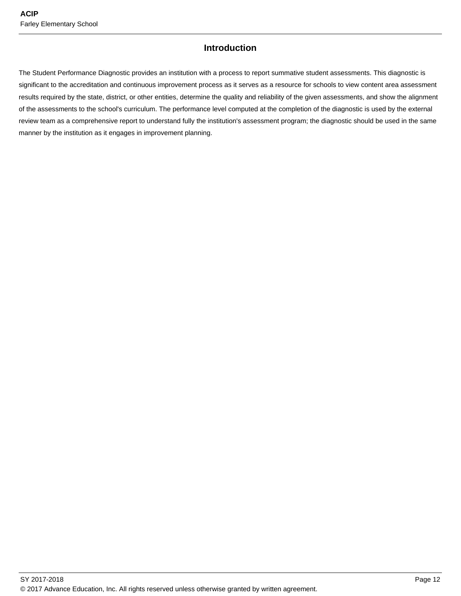## **Introduction**

The Student Performance Diagnostic provides an institution with a process to report summative student assessments. This diagnostic is significant to the accreditation and continuous improvement process as it serves as a resource for schools to view content area assessment results required by the state, district, or other entities, determine the quality and reliability of the given assessments, and show the alignment of the assessments to the school's curriculum. The performance level computed at the completion of the diagnostic is used by the external review team as a comprehensive report to understand fully the institution's assessment program; the diagnostic should be used in the same manner by the institution as it engages in improvement planning.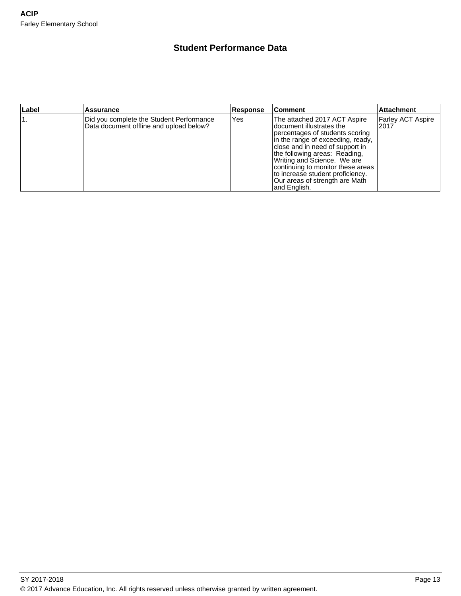# **Student Performance Data**

| Label | <b>Assurance</b>                                                                    | <b>Response</b> | <b>Comment</b>                                                                                                                                                                                                                                                                                                                                                  | <b>Attachment</b>                |
|-------|-------------------------------------------------------------------------------------|-----------------|-----------------------------------------------------------------------------------------------------------------------------------------------------------------------------------------------------------------------------------------------------------------------------------------------------------------------------------------------------------------|----------------------------------|
|       | Did you complete the Student Performance<br>Data document offline and upload below? | Yes             | The attached 2017 ACT Aspire<br>Idocument illustrates the<br>percentages of students scoring<br>in the range of exceeding, ready,<br>close and in need of support in<br>the following areas: Reading,<br>Writing and Science. We are<br>continuing to monitor these areas<br>to increase student proficiency.<br>Our areas of strength are Math<br>and English. | <b>Farley ACT Aspire</b><br>2017 |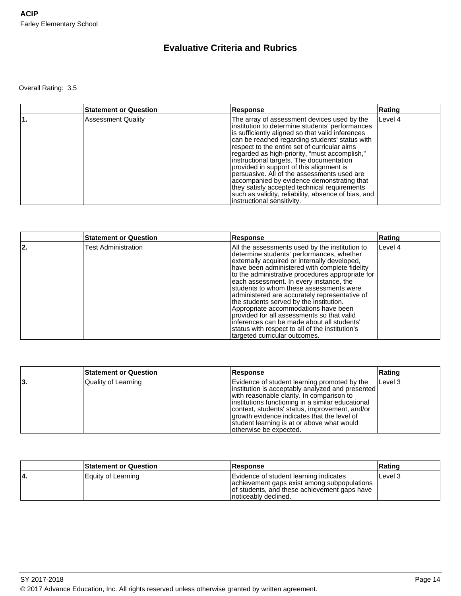# **Evaluative Criteria and Rubrics**

Overall Rating: 3.5

| <b>Statement or Question</b> | Response                                                                                                                                                                                                                                                                                                                                                                                                                                                                                                                                                                                                                        | Rating  |
|------------------------------|---------------------------------------------------------------------------------------------------------------------------------------------------------------------------------------------------------------------------------------------------------------------------------------------------------------------------------------------------------------------------------------------------------------------------------------------------------------------------------------------------------------------------------------------------------------------------------------------------------------------------------|---------|
| <b>Assessment Quality</b>    | The array of assessment devices used by the<br>institution to determine students' performances<br>is sufficiently aligned so that valid inferences<br>can be reached regarding students' status with<br>respect to the entire set of curricular aims<br>regarded as high-priority, "must accomplish,"<br>instructional targets. The documentation<br>provided in support of this alignment is<br>persuasive. All of the assessments used are<br>accompanied by evidence demonstrating that<br>they satisfy accepted technical requirements<br>such as validity, reliability, absence of bias, and<br>instructional sensitivity. | Level 4 |

|    | <b>Statement or Question</b> | <b>Response</b>                                                                                                                                                                                                                                                                                                                                                                                                                                                                                                                                                                                                                                            | Rating    |
|----|------------------------------|------------------------------------------------------------------------------------------------------------------------------------------------------------------------------------------------------------------------------------------------------------------------------------------------------------------------------------------------------------------------------------------------------------------------------------------------------------------------------------------------------------------------------------------------------------------------------------------------------------------------------------------------------------|-----------|
| 2. | <b>Test Administration</b>   | All the assessments used by the institution to<br>determine students' performances, whether<br>externally acquired or internally developed,<br>have been administered with complete fidelity<br>to the administrative procedures appropriate for<br>each assessment. In every instance, the<br>students to whom these assessments were<br>administered are accurately representative of<br>the students served by the institution.<br>Appropriate accommodations have been<br>provided for all assessments so that valid<br>inferences can be made about all students'<br>status with respect to all of the institution's<br>targeted curricular outcomes. | l Level 4 |

|     | <b>Statement or Question</b> | Response                                                                                                                                                                                                                                                                                                                                                                     | Rating    |
|-----|------------------------------|------------------------------------------------------------------------------------------------------------------------------------------------------------------------------------------------------------------------------------------------------------------------------------------------------------------------------------------------------------------------------|-----------|
| ΙЗ. | Quality of Learning          | Evidence of student learning promoted by the<br>linstitution is acceptably analyzed and presented<br>with reasonable clarity. In comparison to<br>institutions functioning in a similar educational<br>context, students' status, improvement, and/or<br>growth evidence indicates that the level of<br>student learning is at or above what would<br>otherwise be expected. | l Level 3 |

| <b>Statement or Question</b> | <b>Response</b>                                                                                                                                                | Rating  |
|------------------------------|----------------------------------------------------------------------------------------------------------------------------------------------------------------|---------|
| Equity of Learning           | Evidence of student learning indicates<br>achievement gaps exist among subpopulations<br>of students, and these achievement gaps have<br>Inoticeably declined. | Level 3 |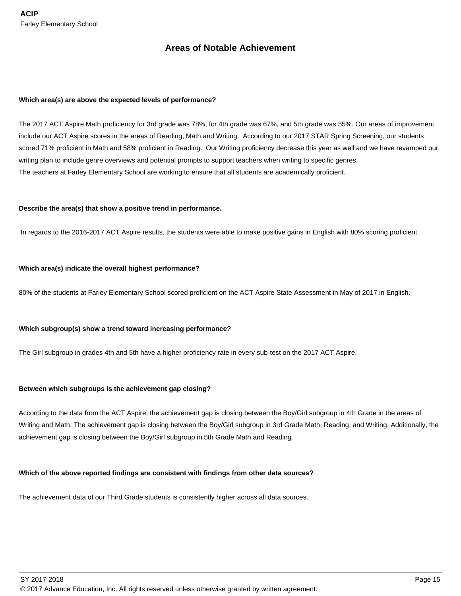## **Areas of Notable Achievement**

#### **Which area(s) are above the expected levels of performance?**

The 2017 ACT Aspire Math proficiency for 3rd grade was 78%, for 4th grade was 67%, and 5th grade was 55%. Our areas of improvement include our ACT Aspire scores in the areas of Reading, Math and Writing. According to our 2017 STAR Spring Screening, our students scored 71% proficient in Math and 58% proficient in Reading. Our Writing proficiency decrease this year as well and we have revamped our writing plan to include genre overviews and potential prompts to support teachers when writing to specific genres. The teachers at Farley Elementary School are working to ensure that all students are academically proficient.

#### **Describe the area(s) that show a positive trend in performance.**

In regards to the 2016-2017 ACT Aspire results, the students were able to make positive gains in English with 80% scoring proficient.

#### **Which area(s) indicate the overall highest performance?**

80% of the students at Farley Elementary School scored proficient on the ACT Aspire State Assessment in May of 2017 in English.

#### **Which subgroup(s) show a trend toward increasing performance?**

The Girl subgroup in grades 4th and 5th have a higher proficiency rate in every sub-test on the 2017 ACT Aspire.

#### **Between which subgroups is the achievement gap closing?**

According to the data from the ACT Aspire, the achievement gap is closing between the Boy/Girl subgroup in 4th Grade in the areas of Writing and Math. The achievement gap is closing between the Boy/Girl subgroup in 3rd Grade Math, Reading, and Writing. Additionally, the achievement gap is closing between the Boy/Girl subgroup in 5th Grade Math and Reading.

#### **Which of the above reported findings are consistent with findings from other data sources?**

The achievement data of our Third Grade students is consistently higher across all data sources.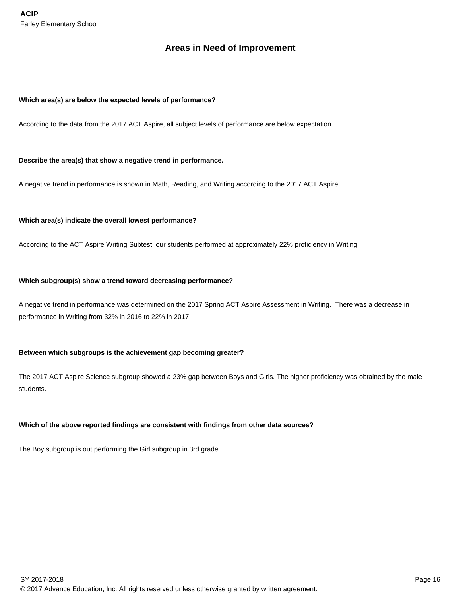## **Areas in Need of Improvement**

#### **Which area(s) are below the expected levels of performance?**

According to the data from the 2017 ACT Aspire, all subject levels of performance are below expectation.

#### **Describe the area(s) that show a negative trend in performance.**

A negative trend in performance is shown in Math, Reading, and Writing according to the 2017 ACT Aspire.

#### **Which area(s) indicate the overall lowest performance?**

According to the ACT Aspire Writing Subtest, our students performed at approximately 22% proficiency in Writing.

#### **Which subgroup(s) show a trend toward decreasing performance?**

A negative trend in performance was determined on the 2017 Spring ACT Aspire Assessment in Writing. There was a decrease in performance in Writing from 32% in 2016 to 22% in 2017.

#### **Between which subgroups is the achievement gap becoming greater?**

The 2017 ACT Aspire Science subgroup showed a 23% gap between Boys and Girls. The higher proficiency was obtained by the male students.

#### **Which of the above reported findings are consistent with findings from other data sources?**

The Boy subgroup is out performing the Girl subgroup in 3rd grade.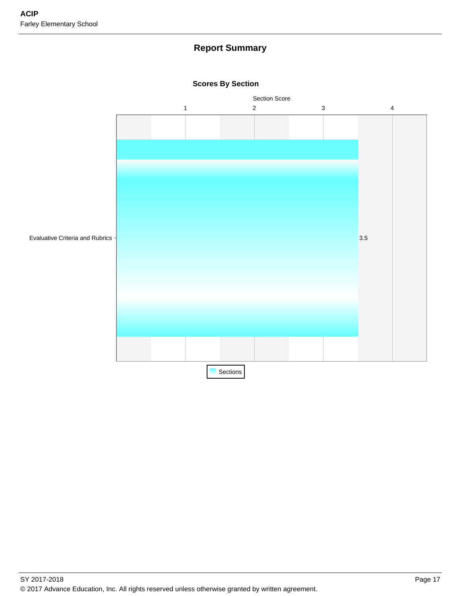# **Report Summary**



**Scores By Section**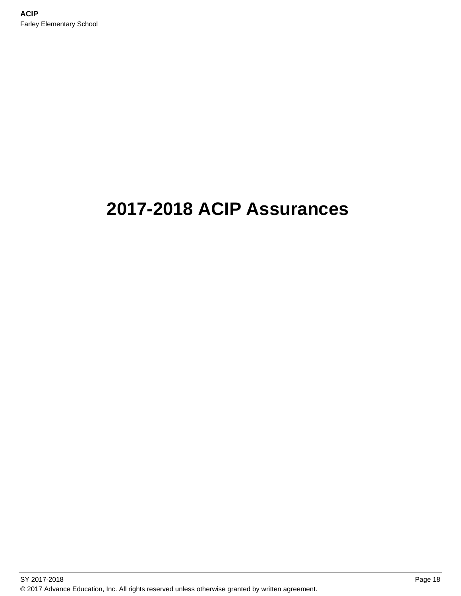# **2017-2018 ACIP Assurances**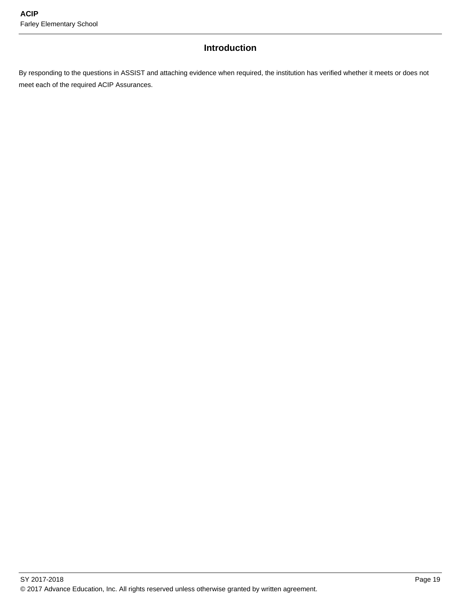# **Introduction**

By responding to the questions in ASSIST and attaching evidence when required, the institution has verified whether it meets or does not meet each of the required ACIP Assurances.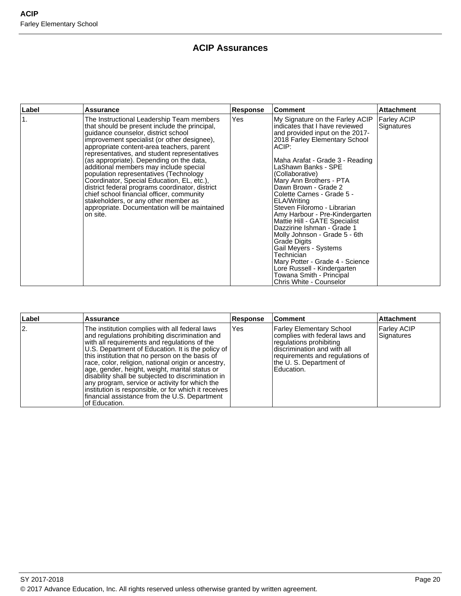# **ACIP Assurances**

| ∣Label         | <b>Assurance</b>                                                                                                                                                                                                                                                                                                                                                                                                                                                                                                                                                                                                                                                 | Response | <b>Comment</b>                                                                                                                                                                                                                                                                                                                                                                                                                                                                                                                                                                                                                                                               | <b>Attachment</b>                |
|----------------|------------------------------------------------------------------------------------------------------------------------------------------------------------------------------------------------------------------------------------------------------------------------------------------------------------------------------------------------------------------------------------------------------------------------------------------------------------------------------------------------------------------------------------------------------------------------------------------------------------------------------------------------------------------|----------|------------------------------------------------------------------------------------------------------------------------------------------------------------------------------------------------------------------------------------------------------------------------------------------------------------------------------------------------------------------------------------------------------------------------------------------------------------------------------------------------------------------------------------------------------------------------------------------------------------------------------------------------------------------------------|----------------------------------|
| $\mathbf{1}$ . | The Instructional Leadership Team members<br>that should be present include the principal,<br>guidance counselor, district school<br>improvement specialist (or other designee),<br>appropriate content-area teachers, parent<br>representatives, and student representatives<br>(as appropriate). Depending on the data,<br>additional members may include special<br>population representatives (Technology<br>Coordinator, Special Education, EL, etc.),<br>district federal programs coordinator, district<br>chief school financial officer, community<br>stakeholders, or any other member as<br>appropriate. Documentation will be maintained<br>on site. | Yes      | My Signature on the Farley ACIP<br>indicates that I have reviewed<br>and provided input on the 2017-<br>2018 Farley Elementary School<br>ACIP:<br>Maha Arafat - Grade 3 - Reading<br>LaShawn Banks - SPE<br>(Collaborative)<br>Mary Ann Brothers - PTA<br>Dawn Brown - Grade 2<br>Colette Carnes - Grade 5 -<br>ELA/Writing<br>Steven Filoromo - Librarian<br>Amy Harbour - Pre-Kindergarten<br>Mattie Hill - GATE Specialist<br>Dazzirine Ishman - Grade 1<br>Molly Johnson - Grade 5 - 6th<br>Grade Digits<br>Gail Meyers - Systems<br>Technician<br>Mary Potter - Grade 4 - Science<br>Lore Russell - Kindergarten<br>Towana Smith - Principal<br>Chris White - Counselor | <b>Farley ACIP</b><br>Signatures |

| Label | <b>Assurance</b>                                                                                                                                                                                                                                                                                                                                                                                                                                                                                                                                                                                    | <b>Response</b> | <b>Comment</b>                                                                                                                                                                                          | <b>Attachment</b>                |
|-------|-----------------------------------------------------------------------------------------------------------------------------------------------------------------------------------------------------------------------------------------------------------------------------------------------------------------------------------------------------------------------------------------------------------------------------------------------------------------------------------------------------------------------------------------------------------------------------------------------------|-----------------|---------------------------------------------------------------------------------------------------------------------------------------------------------------------------------------------------------|----------------------------------|
| 2.    | The institution complies with all federal laws<br>and regulations prohibiting discrimination and<br>with all requirements and regulations of the<br>U.S. Department of Education. It is the policy of<br>this institution that no person on the basis of<br>race, color, religion, national origin or ancestry,<br>age, gender, height, weight, marital status or<br>disability shall be subjected to discrimination in<br>any program, service or activity for which the<br>institution is responsible, or for which it receives<br>financial assistance from the U.S. Department<br>of Education. | Yes             | <b>Farley Elementary School</b><br>complies with federal laws and<br>regulations prohibiting<br>discrimination and with all<br>requirements and regulations of<br>the U. S. Department of<br>Education. | <b>Farley ACIP</b><br>Signatures |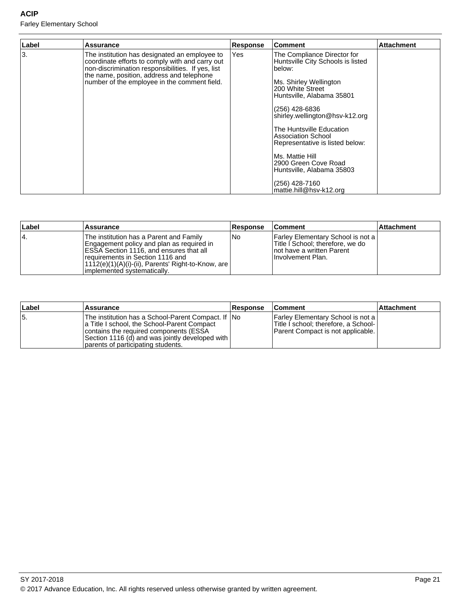## **ACIP**

Farley Elementary School

| Label | Assurance                                                                                                                                                                                                                                          | <b>Response</b> | Comment                                                                                                                                                                                                                                                                                                                                                                                                              | <b>Attachment</b> |
|-------|----------------------------------------------------------------------------------------------------------------------------------------------------------------------------------------------------------------------------------------------------|-----------------|----------------------------------------------------------------------------------------------------------------------------------------------------------------------------------------------------------------------------------------------------------------------------------------------------------------------------------------------------------------------------------------------------------------------|-------------------|
| l3.   | The institution has designated an employee to<br>coordinate efforts to comply with and carry out<br>non-discrimination responsibilities. If yes, list<br>the name, position, address and telephone<br>number of the employee in the comment field. | Yes             | The Compliance Director for<br>Huntsville City Schools is listed<br>below:<br>Ms. Shirley Wellington<br>200 White Street<br>Huntsville, Alabama 35801<br>(256) 428-6836<br>shirley.wellington@hsv-k12.org<br>The Huntsville Education<br>Association School<br>Representative is listed below:<br>IMs. Mattie Hill<br>2900 Green Cove Road<br>Huntsville, Alabama 35803<br>(256) 428-7160<br>mattie.hill@hsv-k12.org |                   |

| <b>Label</b> | Assurance                                                                                                                                                                                                                                                            | <b>Response</b> | <b>Comment</b>                                                                                                             | <b>Attachment</b> |
|--------------|----------------------------------------------------------------------------------------------------------------------------------------------------------------------------------------------------------------------------------------------------------------------|-----------------|----------------------------------------------------------------------------------------------------------------------------|-------------------|
| 14.          | The institution has a Parent and Family<br>Engagement policy and plan as reguired in<br><b>IESSA Section 1116, and ensures that all</b><br>requirements in Section 1116 and<br> 1112(e)(1)(A)(i)-(ii), Parents' Right-to-Know, are  <br>limplemented systematically. | l No            | Farley Elementary School is not a  <br>Title I School; therefore, we do<br>Inot have a written Parent<br>Involvement Plan. |                   |

| ∣Label | <b>Assurance</b>                                                                                                                                                                                                                        | <b>Response</b> | <b>Comment</b>                                                                                                     | ∣Attachment |
|--------|-----------------------------------------------------------------------------------------------------------------------------------------------------------------------------------------------------------------------------------------|-----------------|--------------------------------------------------------------------------------------------------------------------|-------------|
| 15.    | The institution has a School-Parent Compact. If INo<br>a Title I school, the School-Parent Compact<br>contains the required components (ESSA<br>Section 1116 (d) and was jointly developed with  <br>parents of participating students. |                 | Farley Elementary School is not a  <br>Title I school; therefore, a School-  <br>Parent Compact is not applicable. |             |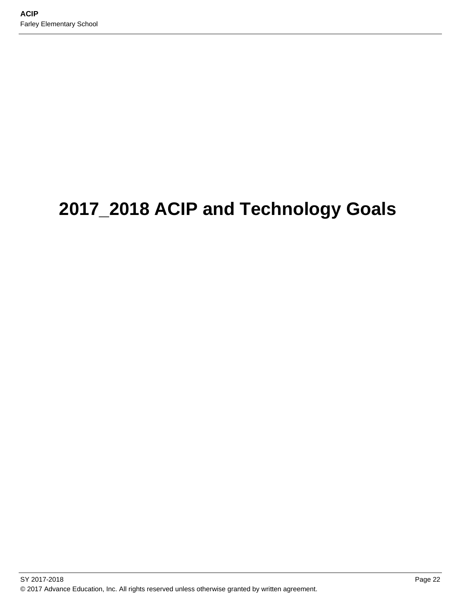# **2017\_2018 ACIP and Technology Goals**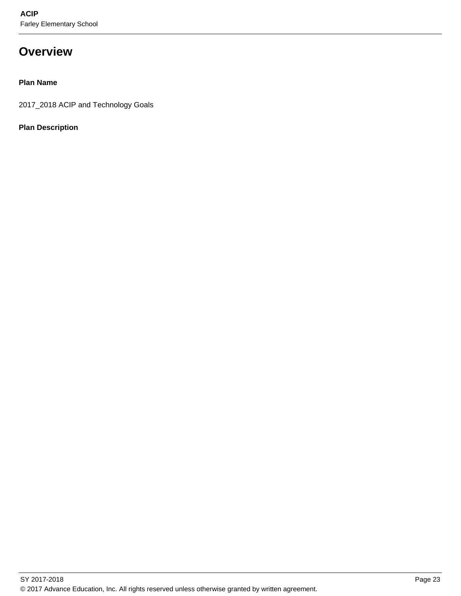# **Overview**

### **Plan Name**

2017\_2018 ACIP and Technology Goals

### **Plan Description**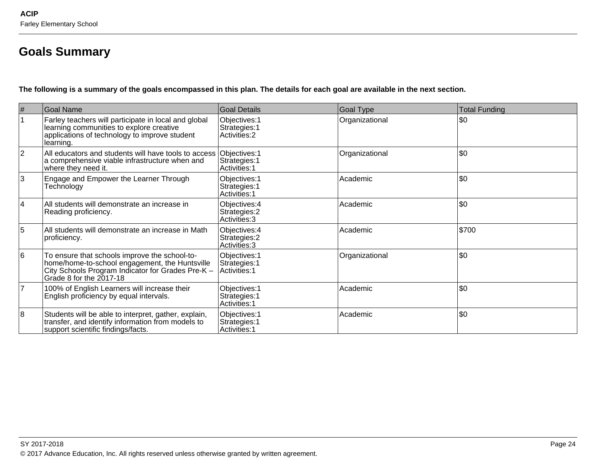# **Goals Summary**

**The following is a summary of the goals encompassed in this plan. The details for each goal are available in the next section.**

| $\#$            | <b>Goal Name</b>                                                                                                                                                                | Goal Details                                           | <b>Goal Type</b> | <b>Total Funding</b> |
|-----------------|---------------------------------------------------------------------------------------------------------------------------------------------------------------------------------|--------------------------------------------------------|------------------|----------------------|
| $\mathbf{1}$    | Farley teachers will participate in local and global<br>learning communities to explore creative<br>applications of technology to improve student<br>learning.                  | Objectives: 1<br>Strategies: 1<br>Activities: 2        | Organizational   | \$0                  |
| $ 2\rangle$     | All educators and students will have tools to access<br>a comprehensive viable infrastructure when and<br>where they need it.                                                   | Objectives: 1<br>Strategies: 1<br>Activities: 1        | Organizational   | \$0                  |
| 3               | Engage and Empower the Learner Through<br>Technology                                                                                                                            | Objectives: 1<br>Strategies: 1<br><b>Activities: 1</b> | Academic         | \$0                  |
| $\vert 4 \vert$ | All students will demonstrate an increase in<br>Reading proficiency.                                                                                                            | Objectives: 4<br>Strategies: 2<br>Activities: 3        | Academic         | \$0                  |
| $\overline{5}$  | All students will demonstrate an increase in Math<br>proficiency.                                                                                                               | Objectives: 4<br>Strategies: 2<br>Activities: 3        | Academic         | \$700                |
| 16              | To ensure that schools improve the school-to-<br>home/home-to-school engagement, the Huntsville<br>City Schools Program Indicator for Grades Pre-K -<br>Grade 8 for the 2017-18 | Objectives: 1<br>Strategies: 1<br>Activities: 1        | Organizational   | \$0                  |
| $\overline{7}$  | 100% of English Learners will increase their<br>English proficiency by equal intervals.                                                                                         | Objectives: 1<br>Strategies: 1<br>Activities: 1        | Academic         | \$0                  |
| 8               | Students will be able to interpret, gather, explain,<br>transfer, and identify information from models to<br>support scientific findings/facts.                                 | Objectives: 1<br>Strategies: 1<br>Activities: 1        | Academic         | \$0                  |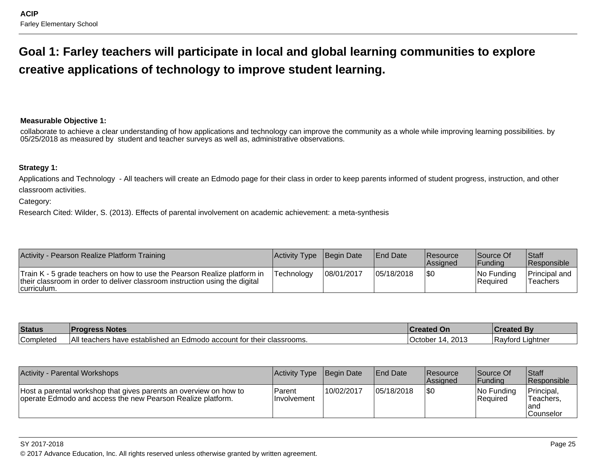# **Goal 1: Farley teachers will participate in local and global learning communities to explorecreative applications of technology to improve student learning.**

#### **Measurable Objective 1:**

collaborate to achieve a clear understanding of how applications and technology can improve the community as a whole while improving learning possibilities. by05/25/2018 as measured by student and teacher surveys as well as, administrative observations.

#### **Strategy 1:**

Applications and Technology - All teachers will create an Edmodo page for their class in order to keep parents informed of student progress, instruction, and otherclassroom activities.

Category:

Research Cited: Wilder, S. (2013). Effects of parental involvement on academic achievement: a meta-synthesis

| Activity - Pearson Realize Platform Training                                                                                                                            | Activity Type Begin Date |            | <b>End Date</b> | Resource<br><b>Assigned</b> | Source Of<br> Fundina     | <b>Staff</b><br><b>Responsible</b> |
|-------------------------------------------------------------------------------------------------------------------------------------------------------------------------|--------------------------|------------|-----------------|-----------------------------|---------------------------|------------------------------------|
| Train K - 5 grade teachers on how to use the Pearson Realize platform in<br>their classroom in order to deliver classroom instruction using the digital<br> curriculum. | Technology               | 08/01/2017 | 05/18/2018      | \$0                         | $ No$ Funding<br>Required | Principal and<br>Teachers          |

| <b>Status</b> | <b>Progress</b><br><b>Notes</b>                                      | <b>∣Created On</b> | <b>created By</b> |
|---------------|----------------------------------------------------------------------|--------------------|-------------------|
| Completed     | ∣ ∧ II                                                               | 2013               | . Liahtner        |
|               | il teachers have established an Edmodo account for their classrooms. | .October           | <b>Ravford</b>    |

| <b>Activity - Parental Workshops</b>                                                                                             | Activity Type Begin Date       |            | <b>End Date</b> | <b>Resource</b><br><b>Assigned</b> | Source Of<br>l Fundina        | <b>Staff</b><br><b>IResponsible</b>                 |
|----------------------------------------------------------------------------------------------------------------------------------|--------------------------------|------------|-----------------|------------------------------------|-------------------------------|-----------------------------------------------------|
| Host a parental workshop that gives parents an overview on how to<br>operate Edmodo and access the new Pearson Realize platform. | l Parent<br><b>Involvement</b> | 10/02/2017 | 05/18/2018      | 1\$0                               | No Funding<br><b>Required</b> | Principal,<br>Teachers,<br>land<br><b>Counselor</b> |

#### SY 2017-2018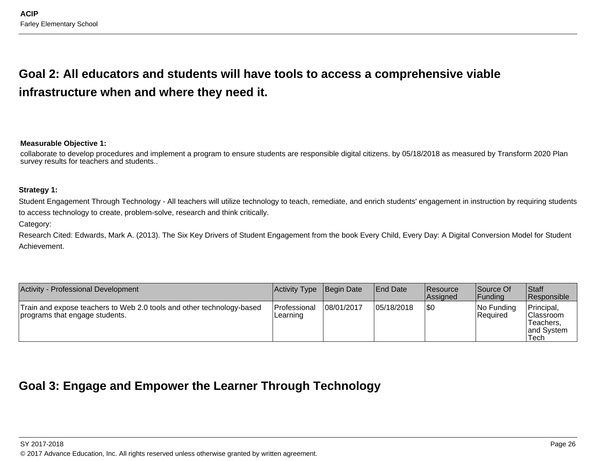# **Goal 2: All educators and students will have tools to access a comprehensive viableinfrastructure when and where they need it.**

#### **Measurable Objective 1:**

collaborate to develop procedures and implement a program to ensure students are responsible digital citizens. by 05/18/2018 as measured by Transform 2020 Plansurvey results for teachers and students..

#### **Strategy 1:**

Student Engagement Through Technology - All teachers will utilize technology to teach, remediate, and enrich students' engagement in instruction by requiring studentsto access technology to create, problem-solve, research and think critically.

#### Category:

Research Cited: Edwards, Mark A. (2013). The Six Key Drivers of Student Engagement from the book Every Child, Every Day: A Digital Conversion Model for StudentAchievement.

| Activity - Professional Development                                                                     | Activity Type Begin Date |            | <b>End Date</b> | Resource<br><b>Assigned</b> | Source Of<br> Funding   | <b>Staff</b><br><b>Responsible</b>                                 |
|---------------------------------------------------------------------------------------------------------|--------------------------|------------|-----------------|-----------------------------|-------------------------|--------------------------------------------------------------------|
| Train and expose teachers to Web 2.0 tools and other technology-based<br>programs that engage students. | Professional<br>Learning | 08/01/2017 | 05/18/2018      | 1\$0                        | No Funding<br> Reauired | Principal,<br><b>Classroom</b><br>Teachers.<br>land System<br>Tech |

# **Goal 3: Engage and Empower the Learner Through Technology**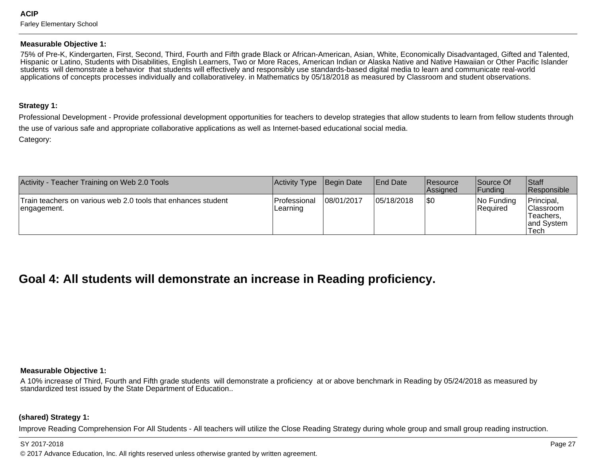#### **Measurable Objective 1:**

75% of Pre-K, Kindergarten, First, Second, Third, Fourth and Fifth grade Black or African-American, Asian, White, Economically Disadvantaged, Gifted and Talented, Hispanic or Latino, Students with Disabilities, English Learners, Two or More Races, American Indian or Alaska Native and Native Hawaiian or Other Pacific Islanderstudents will demonstrate a behavior that students will effectively and responsibly use standards-based digital media to learn and communicate real-world applications of concepts processes individually and collaborativeley. in Mathematics by 05/18/2018 as measured by Classroom and student observations.

#### **Strategy 1:**

Professional Development - Provide professional development opportunities for teachers to develop strategies that allow students to learn from fellow students throughthe use of various safe and appropriate collaborative applications as well as Internet-based educational social media.Category:

| Activity - Teacher Training on Web 2.0 Tools                                 | Activity Type            | Begin Date | <b>End Date</b> | <b>Resource</b><br><b>Assigned</b> | Source Of<br> Funding         | Staff<br>Responsible                                                |
|------------------------------------------------------------------------------|--------------------------|------------|-----------------|------------------------------------|-------------------------------|---------------------------------------------------------------------|
| Train teachers on various web 2.0 tools that enhances student<br>engagement. | Professional<br>Learning | 08/01/2017 | 05/18/2018      | 1\$0                               | No Funding<br><b>Required</b> | Principal,<br><b>Classroom</b><br>Teachers.<br>land Svstem<br>'Tech |

# **Goal 4: All students will demonstrate an increase in Reading proficiency.**

#### **Measurable Objective 1:**

A 10% increase of Third, Fourth and Fifth grade students will demonstrate a proficiency at or above benchmark in Reading by 05/24/2018 as measured bystandardized test issued by the State Department of Education..

#### **(shared) Strategy 1:**

Improve Reading Comprehension For All Students - All teachers will utilize the Close Reading Strategy during whole group and small group reading instruction.

#### SY 2017-2018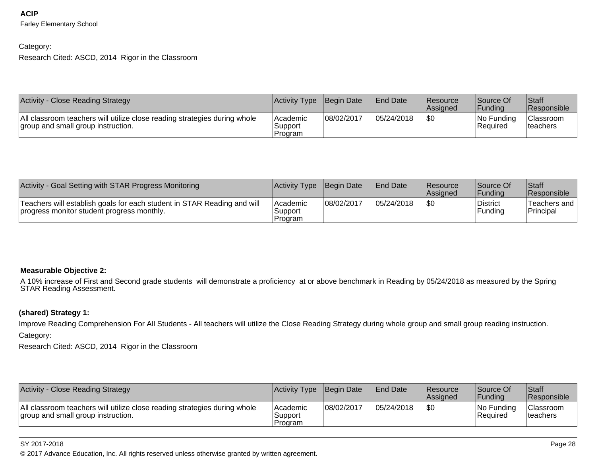#### Category:

Research Cited: ASCD, 2014 Rigor in the Classroom

| Activity - Close Reading Strategy                                                                               | Activity Type Begin Date        |            | <b>IEnd Date</b> | <b>Resource</b><br><b>Assigned</b> | Source Of<br> Fundina   | <b>Staff</b><br>Responsible   |
|-----------------------------------------------------------------------------------------------------------------|---------------------------------|------------|------------------|------------------------------------|-------------------------|-------------------------------|
| All classroom teachers will utilize close reading strategies during whole<br>group and small group instruction. | lAcademic<br>Support<br>Program | 08/02/2017 | 05/24/2018       | \$0                                | INo Fundina<br>Required | <b>Classroom</b><br>Iteachers |

| Activity - Goal Setting with STAR Progress Monitoring                                                                 | Activity Type Begin Date       |            | <b>End Date</b> | Resource<br><b>Assigned</b> | Source Of<br> Fundina | <b>Staff</b><br><b>Responsible</b> |
|-----------------------------------------------------------------------------------------------------------------------|--------------------------------|------------|-----------------|-----------------------------|-----------------------|------------------------------------|
| Teachers will establish goals for each student in STAR Reading and will<br>progress monitor student progress monthly. | Academic<br>Support<br>Program | 08/02/2017 | 05/24/2018      | 1\$C                        | District<br>Funding   | Teachers and<br>Principal          |

#### **Measurable Objective 2:**

A 10% increase of First and Second grade students will demonstrate a proficiency at or above benchmark in Reading by 05/24/2018 as measured by the Spring<br>STAR Reading Assessment.

#### **(shared) Strategy 1:**

Improve Reading Comprehension For All Students - All teachers will utilize the Close Reading Strategy during whole group and small group reading instruction.Category:

Research Cited: ASCD, 2014 Rigor in the Classroom

| Activity - Close Reading Strategy                                                                               | Activity Type Begin Date              |            | <b>IEnd Date</b> | Resource<br>lAssianed | Source Of<br>IFundina            | Staff<br><b>Responsible</b>          |
|-----------------------------------------------------------------------------------------------------------------|---------------------------------------|------------|------------------|-----------------------|----------------------------------|--------------------------------------|
| All classroom teachers will utilize close reading strategies during whole<br>group and small group instruction. | <b>Academic</b><br>Support<br>Program | 08/02/2017 | 05/24/2018       | I\$0                  | $ No$ Funding<br><b>Required</b> | <b>Classroom</b><br><b>Iteachers</b> |

#### SY 2017-2018

en and the set of the set of the set of the set of the set of the set of the set of the set of the set of the set of the set of the set of the set of the set of the set of the set of the set of the set of the set of the se © 2017 Advance Education, Inc. All rights reserved unless otherwise granted by written agreement.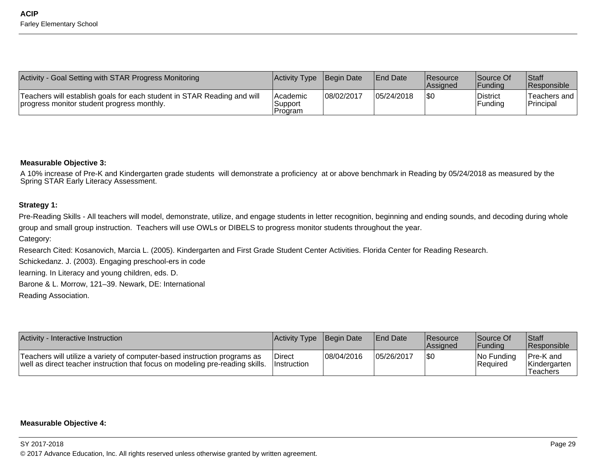| Activity - Goal Setting with STAR Progress Monitoring                                                                 | Activity Type Begin Date              |            | <b>IEnd Date</b> | <b>Resource</b><br><b>Assigned</b> | Source Of<br> Fundina      | <b>Staff</b><br>Responsible        |
|-----------------------------------------------------------------------------------------------------------------------|---------------------------------------|------------|------------------|------------------------------------|----------------------------|------------------------------------|
| Teachers will establish goals for each student in STAR Reading and will<br>progress monitor student progress monthly. | <b>Academic</b><br>Support<br>Program | 08/02/2017 | 05/24/2018       | 1\$0                               | District<br><b>Fundina</b> | Teachers and  <br><b>Principal</b> |

#### **Measurable Objective 3:**

A 10% increase of Pre-K and Kindergarten grade students will demonstrate a proficiency at or above benchmark in Reading by 05/24/2018 as measured by theSpring STAR Early Literacy Assessment.

#### **Strategy 1:**

Pre-Reading Skills - All teachers will model, demonstrate, utilize, and engage students in letter recognition, beginning and ending sounds, and decoding during whole group and small group instruction. Teachers will use OWLs or DIBELS to progress monitor students throughout the year.

Category:

Research Cited: Kosanovich, Marcia L. (2005). Kindergarten and First Grade Student Center Activities. Florida Center for Reading Research.

Schickedanz. J. (2003). Engaging preschool-ers in code

learning. In Literacy and young children, eds. D.

Barone & L. Morrow, 121–39. Newark, DE: International

Reading Association.

| Activity - Interactive Instruction                                                                                                                         | Activity Type Begin Date            |             | <b>End Date</b> | <b>Resource</b><br><b>Assigned</b> | Source Of<br><b>IFundina</b> | Staff<br><b>Responsible</b>            |
|------------------------------------------------------------------------------------------------------------------------------------------------------------|-------------------------------------|-------------|-----------------|------------------------------------|------------------------------|----------------------------------------|
| Teachers will utilize a variety of computer-based instruction programs as<br>well as direct teacher instruction that focus on modeling pre-reading skills. | <b>Direct</b><br><b>Instruction</b> | 108/04/2016 | 105/26/2017     | 1\$0                               | INo Funding<br>Required      | Pre-K and<br> Kindergarten<br>Teachers |

#### **Measurable Objective 4:**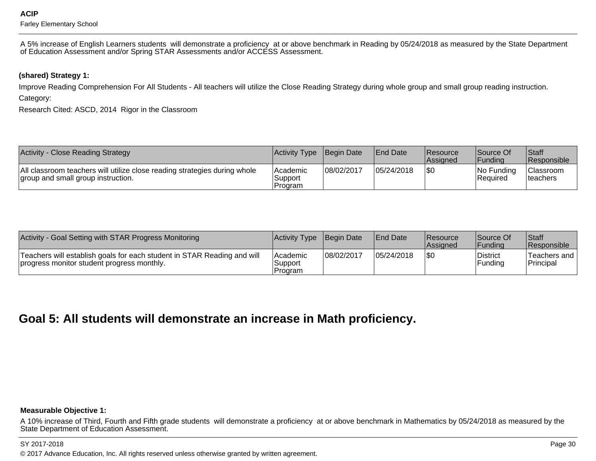A 5% increase of English Learners students will demonstrate a proficiency at or above benchmark in Reading by 05/24/2018 as measured by the State Department<br>of Education Assessment and/or Spring STAR Assessments and/or A

**(shared) Strategy 1:** 

Improve Reading Comprehension For All Students - All teachers will utilize the Close Reading Strategy during whole group and small group reading instruction.Category:

Research Cited: ASCD, 2014 Rigor in the Classroom

| Activity - Close Reading Strategy                                                                               | Activity Type Begin Date        |            | <b>End Date</b> | <b>Resource</b><br><b>Assigned</b> | Source Of<br> Fundina   | <b>Staff</b><br>Responsible                |
|-----------------------------------------------------------------------------------------------------------------|---------------------------------|------------|-----------------|------------------------------------|-------------------------|--------------------------------------------|
| All classroom teachers will utilize close reading strategies during whole<br>group and small group instruction. | lAcademic<br>Support<br>Program | 08/02/2017 | 05/24/2018      | 1\$0                               | No Funding<br> Reauired | <sup>1</sup> Classroom<br><b>Iteachers</b> |

| Activity - Goal Setting with STAR Progress Monitoring                                                                 | <b>Activity Type</b>             | Begin Date | <b>End Date</b> | <b>Resource</b><br><b>Assigned</b> | Source Of<br>lFundina | Staff<br>Responsible      |
|-----------------------------------------------------------------------------------------------------------------------|----------------------------------|------------|-----------------|------------------------------------|-----------------------|---------------------------|
| Teachers will establish goals for each student in STAR Reading and will<br>progress monitor student progress monthly. | l Academic<br>Support<br>Program | 08/02/2017 | 05/24/2018      |                                    | District<br> Funding  | Teachers and<br>Principal |

# **Goal 5: All students will demonstrate an increase in Math proficiency.**

#### **Measurable Objective 1:**

A 10% increase of Third, Fourth and Fifth grade students will demonstrate a proficiency at or above benchmark in Mathematics by 05/24/2018 as measured by the<br>State Department of Education Assessment.

#### SY 2017-2018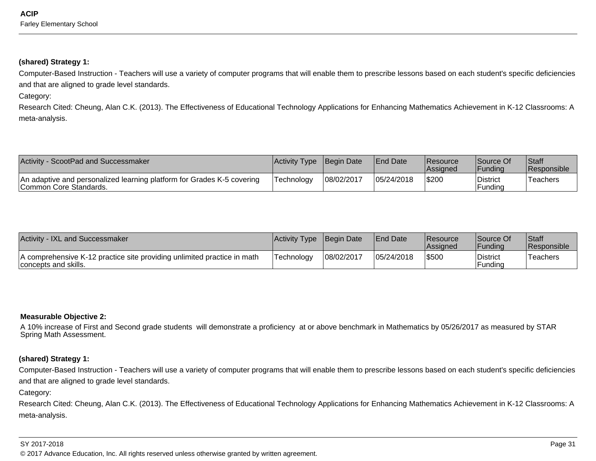#### **(shared) Strategy 1:**

Computer-Based Instruction - Teachers will use a variety of computer programs that will enable them to prescribe lessons based on each student's specific deficienciesand that are aligned to grade level standards.

Category:

Research Cited: Cheung, Alan C.K. (2013). The Effectiveness of Educational Technology Applications for Enhancing Mathematics Achievement in K-12 Classrooms: Ameta-analysis.

| Activity - ScootPad and Successmaker                                                             | Activity Type Begin Date |            | <b>IEnd Date</b> | <b>Resource</b><br><b>Assigned</b> | Source Of<br> Fundina | <b>Staff</b><br>Responsible |
|--------------------------------------------------------------------------------------------------|--------------------------|------------|------------------|------------------------------------|-----------------------|-----------------------------|
| An adaptive and personalized learning platform for Grades K-5 covering<br>Common Core Standards. | Technoloav               | 08/02/2017 | 05/24/2018       | \$200                              | District<br>Funding   | Teachers                    |

| <b>Activity - IXL and Successmaker</b>                                                          | <b>Activity Type</b> | Begin Date | <b>IEnd Date</b> | <b>IResource</b><br><b>Assigned</b> | Source Of<br><b>IFundina</b> | Staff<br><b>Responsible</b> |
|-------------------------------------------------------------------------------------------------|----------------------|------------|------------------|-------------------------------------|------------------------------|-----------------------------|
| A comprehensive K-12 practice site providing unlimited practice in math<br>concepts and skills. | Technology           | 08/02/2017 | 05/24/2018       | 5500                                | District<br>Funding          | 'Teachers                   |

#### **Measurable Objective 2:**

A 10% increase of First and Second grade students will demonstrate a proficiency at or above benchmark in Mathematics by 05/26/2017 as measured by STARSpring Math Assessment.

#### **(shared) Strategy 1:**

Computer-Based Instruction - Teachers will use a variety of computer programs that will enable them to prescribe lessons based on each student's specific deficienciesand that are aligned to grade level standards.

Category:

Research Cited: Cheung, Alan C.K. (2013). The Effectiveness of Educational Technology Applications for Enhancing Mathematics Achievement in K-12 Classrooms: Ameta-analysis.

#### SY 2017-2018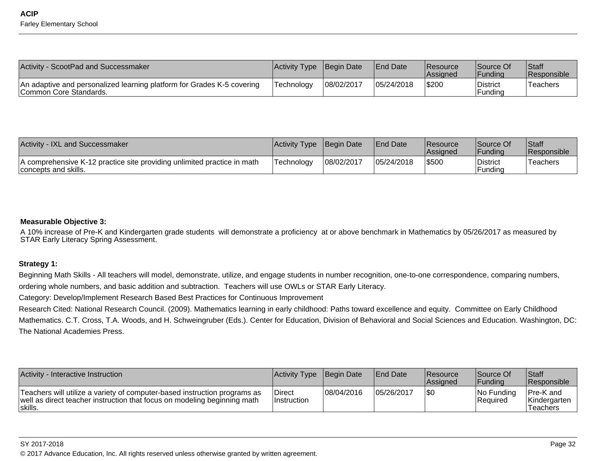| Activity - ScootPad and Successmaker                                                             | Activity Type Begin Date |            | <b>IEnd Date</b> | <b>Resource</b><br><b>Assigned</b> | Source Of<br><b>'Funding</b> | <b>Staff</b><br>Responsible |
|--------------------------------------------------------------------------------------------------|--------------------------|------------|------------------|------------------------------------|------------------------------|-----------------------------|
| An adaptive and personalized learning platform for Grades K-5 covering<br>Common Core Standards. | lTechnoloav              | 08/02/2017 | 05/24/2018       | \$200                              | <b>District</b><br>Fundina   | 'Teachers                   |

| <b>Activity - IXL and Successmaker</b>                                                          | Activity Type | <b>Begin Date</b> | <b>IEnd Date</b> | <b>Resource</b><br><b>Assigned</b> | Source Of<br><b>IFunding</b> | Staff<br><b>Responsible</b> |
|-------------------------------------------------------------------------------------------------|---------------|-------------------|------------------|------------------------------------|------------------------------|-----------------------------|
| A comprehensive K-12 practice site providing unlimited practice in math<br>concepts and skills. | Technoloav    | 08/02/2017        | 05/24/2018       | \$500                              | <b>District</b><br>Funding   | <sup>'</sup> Teachers       |

#### **Measurable Objective 3:**

A 10% increase of Pre-K and Kindergarten grade students will demonstrate a proficiency at or above benchmark in Mathematics by 05/26/2017 as measured by<br>STAR Early Literacy Spring Assessment.

#### **Strategy 1:**

Beginning Math Skills - All teachers will model, demonstrate, utilize, and engage students in number recognition, one-to-one correspondence, comparing numbers,ordering whole numbers, and basic addition and subtraction. Teachers will use OWLs or STAR Early Literacy.

Category: Develop/Implement Research Based Best Practices for Continuous Improvement

Research Cited: National Research Council. (2009). Mathematics learning in early childhood: Paths toward excellence and equity. Committee on Early Childhood Mathematics. C.T. Cross, T.A. Woods, and H. Schweingruber (Eds.). Center for Education, Division of Behavioral and Social Sciences and Education. Washington, DC:The National Academies Press.

| Activity - Interactive Instruction                                                                                                                                | Activity Type Begin Date     |            | <b>IEnd Date</b> | Resource<br><b>Assigned</b> | Source Of<br> Fundina     | Staff<br><b>Responsible</b>                  |
|-------------------------------------------------------------------------------------------------------------------------------------------------------------------|------------------------------|------------|------------------|-----------------------------|---------------------------|----------------------------------------------|
| Teachers will utilize a variety of computer-based instruction programs as<br>well as direct teacher instruction that focus on modeling beginning math<br>Iskills. | Direct<br><i>Instruction</i> | 08/04/2016 | 05/26/2017       | I\$0                        | $ No$ Funding<br>Required | <b>Pre-K</b> and<br>Kindergarten<br>Teachers |

SY 2017-2018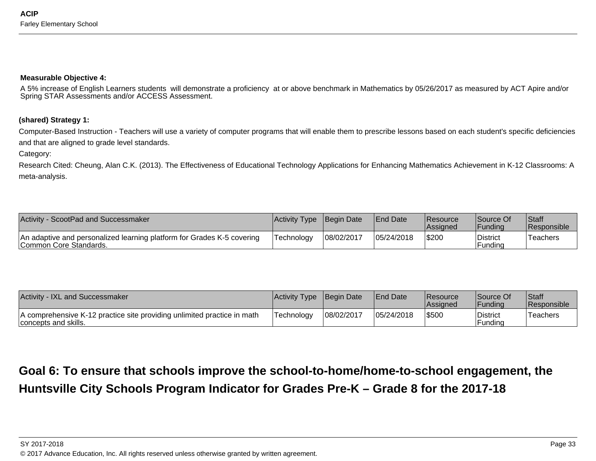#### **Measurable Objective 4:**

A 5% increase of English Learners students will demonstrate a proficiency at or above benchmark in Mathematics by 05/26/2017 as measured by ACT Apire and/orSpring STAR Assessments and/or ACCESS Assessment.

#### **(shared) Strategy 1:**

Computer-Based Instruction - Teachers will use a variety of computer programs that will enable them to prescribe lessons based on each student's specific deficienciesand that are aligned to grade level standards.

Category:

Research Cited: Cheung, Alan C.K. (2013). The Effectiveness of Educational Technology Applications for Enhancing Mathematics Achievement in K-12 Classrooms: Ameta-analysis.

| Activity - ScootPad and Successmaker                                                              | <b>Activity Type</b> | Begin Date | <b>IEnd Date</b> | <b>IResource</b><br><b>Assigned</b> | Source Of<br>IFundina      | Staff<br><b>Responsible</b> |
|---------------------------------------------------------------------------------------------------|----------------------|------------|------------------|-------------------------------------|----------------------------|-----------------------------|
| An adaptive and personalized learning platform for Grades K-5 covering<br>ICommon Core Standards. | Technology           | 08/02/2017 | 05/24/2018       | \$200                               | <b>District</b><br>Fundina | `Teachers                   |

| <b>Activity - IXL and Successmaker</b>                                                          | Activity Type | <b>Begin Date</b> | <b>IEnd Date</b> | <b>Resource</b><br><b>Assigned</b> | Source Of<br><b>IFundina</b> | Staff<br><b>Responsible</b> |
|-------------------------------------------------------------------------------------------------|---------------|-------------------|------------------|------------------------------------|------------------------------|-----------------------------|
| A comprehensive K-12 practice site providing unlimited practice in math<br>concepts and skills. | Technoloav    | 08/02/2017        | 05/24/2018       | \$500                              | <b>District</b><br>Fundina   | 'Teachers                   |

**Goal 6: To ensure that schools improve the school-to-home/home-to-school engagement, theHuntsville City Schools Program Indicator for Grades Pre-K – Grade 8 for the 2017-18**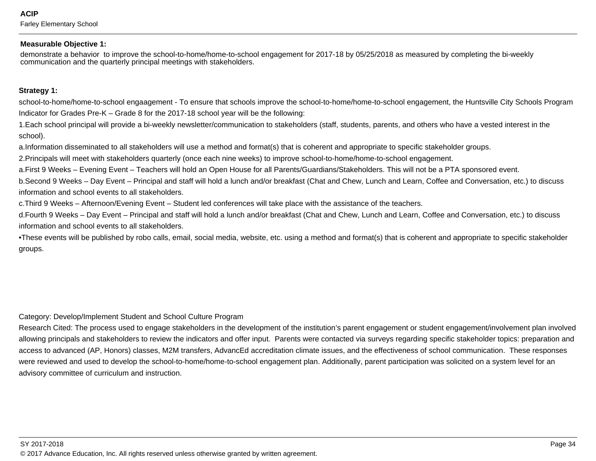**ACIP**Farley Elementary School

#### **Measurable Objective 1:**

demonstrate a behavior to improve the school-to-home/home-to-school engagement for 2017-18 by 05/25/2018 as measured by completing the bi-weeklycommunication and the quarterly principal meetings with stakeholders.

#### **Strategy 1:**

school-to-home/home-to-school engaagement - To ensure that schools improve the school-to-home/home-to-school engagement, the Huntsville City Schools ProgramIndicator for Grades Pre-K – Grade 8 for the 2017-18 school year will be the following:

1. Each school principal will provide a bi-weekly newsletter/communication to stakeholders (staff, students, parents, and others who have a vested interest in theschool).

a. Information disseminated to all stakeholders will use a method and format(s) that is coherent and appropriate to specific stakeholder groups.

2. Principals will meet with stakeholders quarterly (once each nine weeks) to improve school-to-home/home-to-school engagement.

a. First 9 Weeks – Evening Event – Teachers will hold an Open House for all Parents/Guardians/Stakeholders. This will not be a PTA sponsored event.

b. Second 9 Weeks – Day Event – Principal and staff will hold a lunch and/or breakfast (Chat and Chew, Lunch and Learn, Coffee and Conversation, etc.) to discuss information and school events to all stakeholders.

c. Third 9 Weeks – Afternoon/Evening Event – Student led conferences will take place with the assistance of the teachers.

d. Fourth 9 Weeks – Day Event – Principal and staff will hold a lunch and/or breakfast (Chat and Chew, Lunch and Learn, Coffee and Conversation, etc.) to discuss information and school events to all stakeholders.

• These events will be published by robo calls, email, social media, website, etc. using a method and format(s) that is coherent and appropriate to specific stakeholder groups.

Category: Develop/Implement Student and School Culture Program

 Research Cited: The process used to engage stakeholders in the development of the institution's parent engagement or student engagement/involvement plan involved allowing principals and stakeholders to review the indicators and offer input. Parents were contacted via surveys regarding specific stakeholder topics: preparation andaccess to advanced (AP, Honors) classes, M2M transfers, AdvancEd accreditation climate issues, and the effectiveness of school communication. These responseswere reviewed and used to develop the school-to-home/home-to-school engagement plan. Additionally, parent participation was solicited on a system level for anadvisory committee of curriculum and instruction.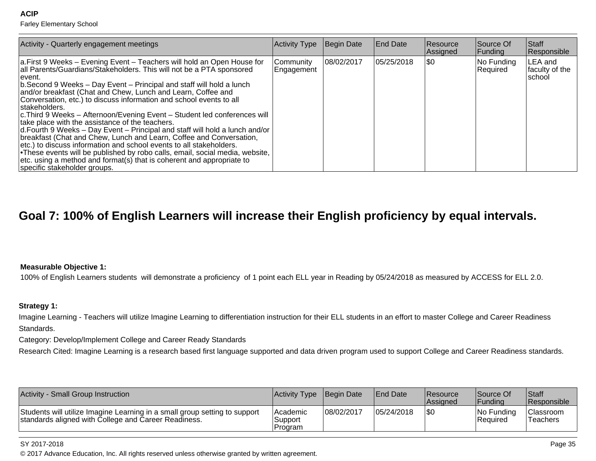**ACIP**

Farley Elementary School

| Activity - Quarterly engagement meetings                                                                                                                                                                                                                                                                                                                                                                                                                                                                                                                                                                                                                                                                                                                                                                                                                                                                                                                 | <b>Activity Type</b>    | Begin Date  | <b>End Date</b> | <b>Resource</b><br>Assigned | Source Of<br>Funding   | Staff<br>Responsible                 |
|----------------------------------------------------------------------------------------------------------------------------------------------------------------------------------------------------------------------------------------------------------------------------------------------------------------------------------------------------------------------------------------------------------------------------------------------------------------------------------------------------------------------------------------------------------------------------------------------------------------------------------------------------------------------------------------------------------------------------------------------------------------------------------------------------------------------------------------------------------------------------------------------------------------------------------------------------------|-------------------------|-------------|-----------------|-----------------------------|------------------------|--------------------------------------|
| a. First 9 Weeks – Evening Event – Teachers will hold an Open House for<br>all Parents/Guardians/Stakeholders. This will not be a PTA sponsored<br>Tevent.<br>b. Second 9 Weeks – Day Event – Principal and staff will hold a lunch<br>and/or breakfast (Chat and Chew, Lunch and Learn, Coffee and<br>Conversation, etc.) to discuss information and school events to all<br>stakeholders.<br> c. Third 9 Weeks – Afternoon/Evening Event – Student led conferences will<br>take place with the assistance of the teachers.<br>d. Fourth 9 Weeks – Day Event – Principal and staff will hold a lunch and/or<br>breakfast (Chat and Chew, Lunch and Learn, Coffee and Conversation,<br>etc.) to discuss information and school events to all stakeholders.<br>• These events will be published by robo calls, email, social media, website,<br>$ $ etc. using a method and format(s) that is coherent and appropriate to<br>specific stakeholder groups. | Community<br>Engagement | 108/02/2017 | 105/25/2018     | 1\$0                        | No Funding<br>Required | LEA and<br>faculty of the<br> school |

# **Goal 7: 100% of English Learners will increase their English proficiency by equal intervals.**

#### **Measurable Objective 1:**

100% of English Learners students will demonstrate a proficiency of 1 point each ELL year in Reading by 05/24/2018 as measured by ACCESS for ELL 2.0.

#### **Strategy 1:**

Imagine Learning - Teachers will utilize Imagine Learning to differentiation instruction for their ELL students in an effort to master College and Career ReadinessStandards.

Category: Develop/Implement College and Career Ready Standards

Research Cited: Imagine Learning is a research based first language supported and data driven program used to support College and Career Readiness standards.

| Activity - Small Group Instruction                                                                                                 | Activity Type Begin Date        |            | <b>IEnd Date</b> | <b>Resource</b><br><b>Assigned</b> | Source Of<br><b>Funding</b> | <b>Staff</b><br><b>Responsible</b> |
|------------------------------------------------------------------------------------------------------------------------------------|---------------------------------|------------|------------------|------------------------------------|-----------------------------|------------------------------------|
| Students will utilize Imagine Learning in a small group setting to support<br>standards aligned with College and Career Readiness. | lAcademic<br>Support<br>Program | 08/02/2017 | 05/24/2018       | \$0                                | No Funding<br>Required      | <b>Classroom</b><br>Teachers       |

#### SY 2017-2018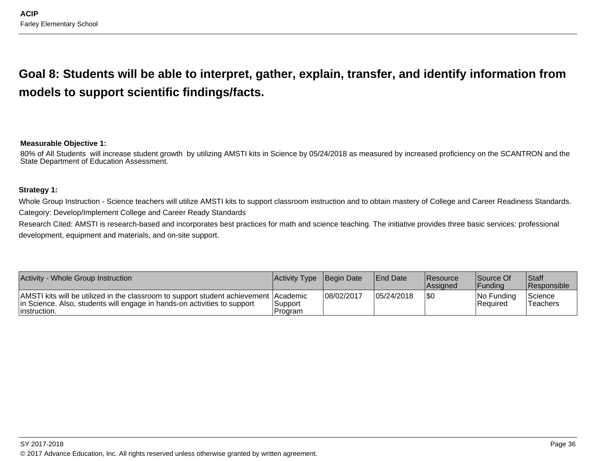**Goal 8: Students will be able to interpret, gather, explain, transfer, and identify information frommodels to support scientific findings/facts.**

#### **Measurable Objective 1:**

80% of All Students will increase student growth by utilizing AMSTI kits in Science by 05/24/2018 as measured by increased proficiency on the SCANTRON and the State Department of Education Assessment.

#### **Strategy 1:**

Whole Group Instruction - Science teachers will utilize AMSTI kits to support classroom instruction and to obtain mastery of College and Career Readiness Standards. Category: Develop/Implement College and Career Ready Standards

Research Cited: AMSTI is research-based and incorporates best practices for math and science teaching. The initiative provides three basic services: professional development, equipment and materials, and on-site support.

| Activity - Whole Group Instruction                                                                                                                                                | <b>Activity Type Begin Date</b> |            | <b>End Date</b> | <b>Resource</b><br><b>Assigned</b> | Source Of<br>IFundina          | <b>Staff</b><br>Responsible |
|-----------------------------------------------------------------------------------------------------------------------------------------------------------------------------------|---------------------------------|------------|-----------------|------------------------------------|--------------------------------|-----------------------------|
| AMSTI kits will be utilized in the classroom to support student achievement Academic<br>In Science. Also, students will engage in hands-on activities to support<br>linstruction. | Support<br>Program              | 08/02/2017 | 05/24/2018      | \$0                                | INo Fundina<br><b>Required</b> | Science<br>Teachers         |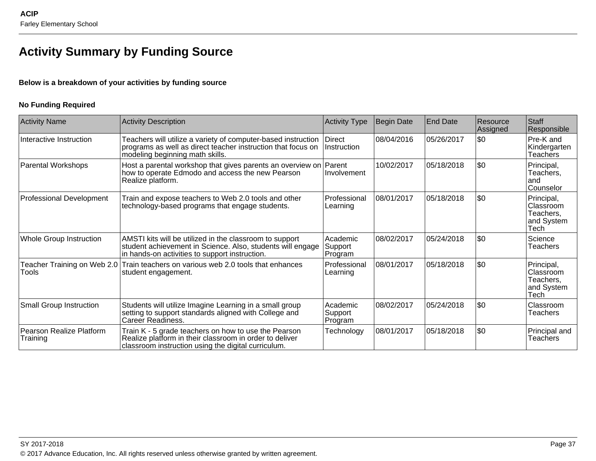# **Activity Summary by Funding Source**

#### **Below is a breakdown of your activities by funding source**

#### **No Funding Required**

| <b>Activity Name</b>                 | <b>Activity Description</b>                                                                                                                                             | <b>Activity Type</b>           | <b>Begin Date</b> | <b>End Date</b> | Resource<br>Assigned | <b>S</b> taff<br>Responsible                               |
|--------------------------------------|-------------------------------------------------------------------------------------------------------------------------------------------------------------------------|--------------------------------|-------------------|-----------------|----------------------|------------------------------------------------------------|
| Interactive Instruction              | Teachers will utilize a variety of computer-based instruction<br>programs as well as direct teacher instruction that focus on<br>modeling beginning math skills.        | <b>Direct</b><br>Instruction   | 08/04/2016        | 05/26/2017      | \$0                  | Pre-K and<br>Kindergarten<br>Teachers                      |
| Parental Workshops                   | Host a parental workshop that gives parents an overview on Parent<br>how to operate Edmodo and access the new Pearson<br>Realize platform.                              | Involvement                    | 10/02/2017        | 05/18/2018      | \$0                  | Principal,<br>Teachers.<br>land<br>Counselor               |
| Professional Development             | Train and expose teachers to Web 2.0 tools and other<br>technology-based programs that engage students.                                                                 | Professional<br>Learning       | 08/01/2017        | 05/18/2018      | \$0                  | Principal,<br>Classroom<br>Teachers,<br>and System<br>Tech |
| Whole Group Instruction              | AMSTI kits will be utilized in the classroom to support<br>student achievement in Science. Also, students will engage<br>in hands-on activities to support instruction. | Academic<br>Support<br>Program | 08/02/2017        | 05/24/2018      | \$0                  | Science<br><b>Teachers</b>                                 |
| Tools                                | Teacher Training on Web 2.0 Train teachers on various web 2.0 tools that enhances<br>student engagement.                                                                | Professional<br>Learning       | 08/01/2017        | 05/18/2018      | l\$0                 | Principal,<br>Classroom<br>Teachers,<br>and System<br>Tech |
| <b>Small Group Instruction</b>       | Students will utilize Imagine Learning in a small group<br>setting to support standards aligned with College and<br>Career Readiness.                                   | Academic<br>Support<br>Program | 08/02/2017        | 05/24/2018      | \$0                  | <b>Classroom</b><br><b>Teachers</b>                        |
| Pearson Realize Platform<br>Training | Train K - 5 grade teachers on how to use the Pearson<br>Realize platform in their classroom in order to deliver<br>classroom instruction using the digital curriculum.  | Technology                     | 08/01/2017        | 05/18/2018      | \$0                  | Principal and<br>Teachers                                  |